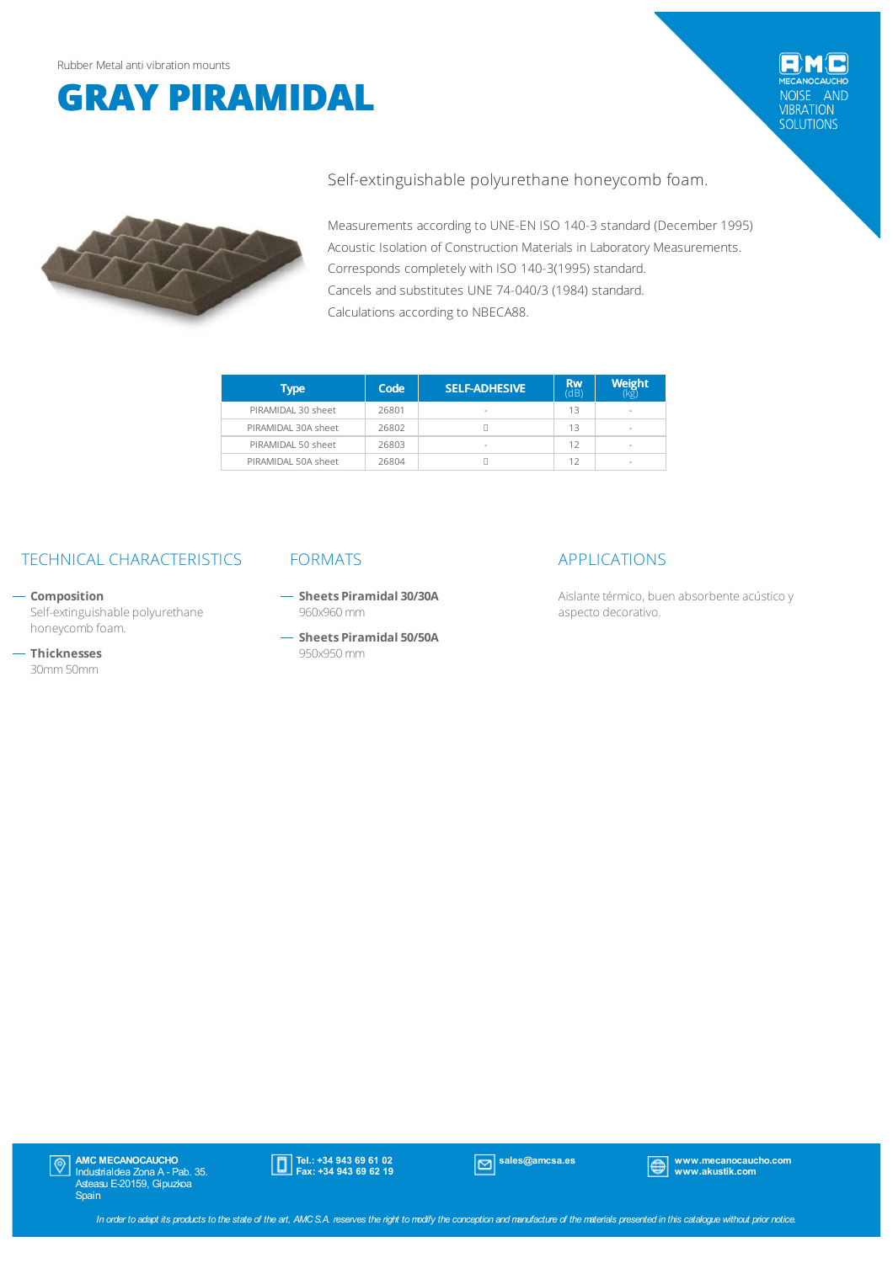# **GRAY PIRAMIDAL**





### Self-extinguishable polyurethane honeycomb foam.

Measurements according to UNE-EN ISO 140-3 standard (December 1995) Acoustic Isolation of Construction Materials in Laboratory Measurements. Corresponds completely with ISO 140-3(1995) standard. Cancels and substitutes UNE 74-040/3 (1984) standard. Calculations according to NBECA88.

| <b>Type</b>         | Code  | <b>SELF-ADHESIVE</b>     | $Rw$<br>(dB) | <b>Weight</b>            |
|---------------------|-------|--------------------------|--------------|--------------------------|
| PIRAMIDAL 30 sheet  | 26801 | ۰                        | 13           | $\overline{\phantom{a}}$ |
| PIRAMIDAL 30A sheet | 26802 |                          | 13           | $\overline{\phantom{a}}$ |
| PIRAMIDAL 50 sheet  | 26803 | $\overline{\phantom{a}}$ | 12           | $\overline{\phantom{a}}$ |
| PIRAMIDAL 50A sheet | 26804 |                          |              | $\overline{\phantom{a}}$ |

### TECHNICAL CHARACTERISTICS FORMATS TECHNICAL CHARACTERISTICS FORMATS

**Composition** Self-extinguishable polyurethane

## **Thicknesses**

honeycomb foam.

30mm50mm

- **Sheets Piramidal 30/30A** 960x960mm
- **Sheets Piramidal 50/50A** 950x950mm

Aislante térmico, buen absorbente acústico y aspecto decorativo.

AMC MECANOCAUCHO Industrialdea Zona A - Pab. 35. Asteasu E-20159, Gipuzkoa Spain  $|\mathbb{Q}|$ 





sales@amcsa.es www.mecanocaucho.com www.akustik.com